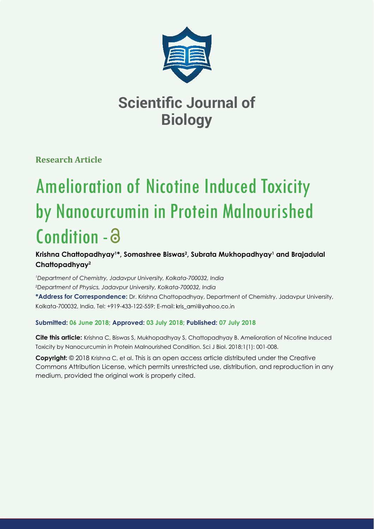

**Research Article**

# Amelioration of Nicotine Induced Toxicity by Nanocurcumin in Protein Malnourished Condition -

## **Krishna Chattopadhyay1 \*, Somashree Biswas2 , Subrata Mukhopadhyay1 and Brajadulal Chattopadhyay2**

*1 Department of Chemistry, Jadavpur University, Kolkata-700032, India 2 Department of Physics, Jadavpur University, Kolkata-700032, India* **\*Address for Correspondence:** Dr. Krishna Chattopadhyay, Department of Chemistry, Jadavpur University, Kolkata-700032, India, Tel: +919-433-122-559; E-mail:

## **Submitted: 06 June 2018; Approved: 03 July 2018; Published: 07 July 2018**

**Cite this article:** Krishna C, Biswas S, Mukhopadhyay S, Chattopadhyay B. Amelioration of Nicotine Induced Toxicity by Nanocurcumin in Protein Malnourished Condition. Sci J Biol. 2018;1(1): 001-008.

**Copyright:** © 2018 Krishna C, et al. This is an open access article distributed under the Creative Commons Attribution License, which permits unrestricted use, distribution, and reproduction in any medium, provided the original work is properly cited.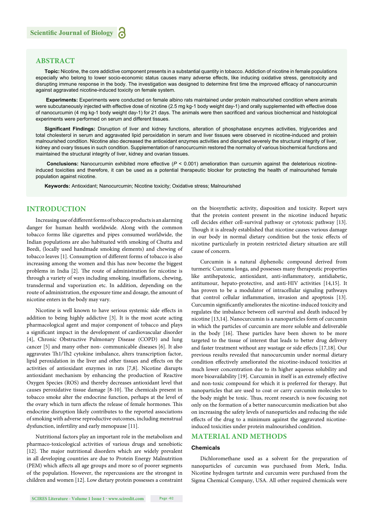### **ABSTRACT**

**Topic:** Nicotine, the core addictive component presents in a substantial quantity in tobacco. Addiction of nicotine in female populations especially who belong to lower socio-economic status causes many adverse effects, like inducing oxidative stress, genotoxicity and disrupting immune response in the body. The investigation was designed to determine first time the improved efficacy of nanocurcumin against aggravated nicotine-induced toxicity on female system.

**Experiments:** Experiments were conducted on female albino rats maintained under protein malnourished condition where animals were subcutaneously injected with effective dose of nicotine (2.5 mg kg-1 body weight day-1) and orally supplemented with effective dose of nanocurcumin (4 mg kg-1 body weight day-1) for 21 days. The animals were then sacrificed and various biochemical and histological experiments were performed on serum and different tissues.

Significant Findings: Disruption of liver and kidney functions, alteration of phosphatase enzymes activities, triglycerides and total cholesterol in serum and aggravated lipid peroxidation in serum and liver tissues were observed in nicotine-induced and protein malnourished condition. Nicotine also decreased the antioxidant enzymes activities and disrupted severely the structural integrity of liver, kidney and ovary tissues in such condition. Supplementation of nanocurcumin restored the normalcy of various biochemical functions and maintained the structural integrity of liver, kidney and ovarian tissues.

**Conclusions:** Nanocurcumin exhibited more effective (*P* < 0.001) amelioration than curcumin against the deleterious nicotineinduced toxicities and therefore, it can be used as a potential therapeutic blocker for protecting the health of malnourished female population against nicotine.

**Keywords:** Antioxidant; Nanocurcumin; Nicotine toxicity; Oxidative stress; Malnourished

## **INTRODUCTION**

Increasing use of different forms of tobacco products is an alarming danger for human health worldwide. Along with the common tobacco forms like cigarettes and pipes consumed worldwide, the Indian populations are also habituated with smoking of Chutta and Beedi, (locally used handmade smoking elements) and chewing of tobacco leaves [1]. Consumption of different forms of tobacco is also increasing among the women and this has now become the biggest problems in India [2]. The route of administration for nicotine is through a variety of ways including smoking, insufflations, chewing, transdermal and vaporization etc. In addition, depending on the route of administration, the exposure time and dosage, the amount of nicotine enters in the body may vary.

Nicotine is well known to have serious systemic side effects in addition to being highly addictive [3]. It is the most acute acting pharmacological agent and major component of tobacco and plays a significant impact in the development of cardiovascular disorder [4], Chronic Obstructive Pulmonary Disease (COPD) and lung cancer [5] and many other non- communicable diseases [6]. It also aggravates Th1/Th2 cytokine imbalance, alters transcription factor, lipid peroxidation in the liver and other tissues and effects on the activities of antioxidant enzymes in rats [7,8]. Nicotine disrupts antioxidant mechanism by enhancing the production of Reactive Oxygen Species (ROS) and thereby decreases antioxidant level that causes peroxidative tissue damage [8-10]. The chemicals present in tobacco smoke alter the endocrine function, perhaps at the level of the ovary which in turn affects the release of female hormones. This endocrine disruption likely contributes to the reported associations of smoking with adverse reproductive outcomes, including menstrual dysfunction, infertility and early menopause [11].

Nutritional factors play an important role in the metabolism and pharmaco-toxicological activities of various drugs and xenobiotic [12]. The major nutritional disorders which are widely prevalent in all developing countries are due to Protein Energy Malnutrition (PEM) which affects all age groups and more so of poorer segments of the population. However, the repercussions are the strongest in children and women [12]. Low dietary protein possesses a constraint on the biosynthetic activity, disposition and toxicity. Report says that the protein content present in the nicotine induced hepatic cell decides either cell-survival pathway or cytotoxic pathway [13]. Though it is already established that nicotine causes various damage in our body in normal dietary condition but the toxic effects of nicotine particularly in protein restricted dietary situation are still cause of concern.

Curcumin is a natural diphenolic compound derived from turmeric Curcuma longa, and possesses many therapeutic properties like antihepatoxic, antioxidant, anti-inflammatory, antidiabetic, antitumour, hepato-protective, and anti-HIV activities [14,15]. It has proven to be a modulator of intracellular signaling pathways that control cellular inflammation, invasion and apoptosis [13]. Curcumin significantly ameliorates the nicotine-induced toxicity and regulates the imbalance between cell survival and death induced by nicotine [13,14]. Nanocurcumin is a nanoparticles form of curcumin in which the particles of curcumin are more soluble and deliverable in the body [16]. These particles have been shown to be more targeted to the tissue of interest that leads to better drug delivery and faster treatment without any wastage or side effects [17,18]. Our previous results revealed that nanocurcumin under normal dietary condition effectively ameliorated the nicotine-induced toxicities at much lower concentration due to its higher aqueous solubility and more bioavailability [19]. Curcumin in itself is an extremely effective and non-toxic compound for which it is preferred for therapy. But nanoparticles that are used to coat or carry curcumin molecules to the body might be toxic. Thus, recent research is now focusing not only on the formation of a better nanocurcumin medication but also on increasing the safety levels of nanoparticles and reducing the side effects of the drug to a minimum against the aggravated nicotineinduced toxicities under protein malnourished condition.

## **MATERIAL AND METHODS**

#### **Chemicals**

Dichloromethane used as a solvent for the preparation of nanoparticles of curcumin was purchased from Merk, India. Nicotine hydrogen tartrate and curcumin were purchased from the Sigma Chemical Company, USA. All other required chemicals were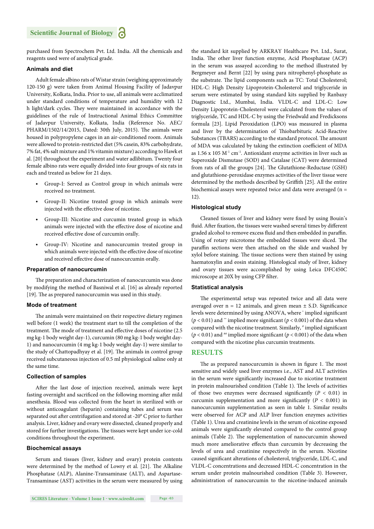purchased from Spectrochem Pvt. Ltd. India. All the chemicals and reagents used were of analytical grade.

#### **Animals and diet**

Adult female albino rats of Wistar strain (weighing approximately 120-150 g) were taken from Animal Housing Facility of Jadavpur University, Kolkata, India. Prior to use, all animals were acclimatized under standard conditions of temperature and humidity with 12 h light/dark cycles. They were maintained in accordance with the guidelines of the rule of Instructional Animal Ethics Committee of Jadavpur University, Kolkata, India (Reference No. AEC/ PHARM/1502/14/2015, Dated: 30th July, 2015). The animals were housed in polypropylene cages in an air-conditioned room. Animals were allowed to protein-restricted diet (5% casein, 83% carbohydrate, 7% fat, 4% salt mixture and 1% vitamin mixture) according to Hawk et al. [20] throughout the experiment and water adlibitum. Twenty four female albino rats were equally divided into four groups of six rats in each and treated as below for 21 days.

- Group-I: Served as Control group in which animals were received no treatment.
- Group-II: Nicotine treated group in which animals were injected with the effective dose of nicotine.
- Group-III: Nicotine and curcumin treated group in which animals were injected with the effective dose of nicotine and received effective dose of curcumin orally.
- Group-IV: Nicotine and nanocurcumin treated group in which animals were injected with the effective dose of nicotine and received effective dose of nanocurcumin orally.

#### **Preparation of nanocurcumin**

The preparation and characterization of nanocurcumin was done by modifying the method of Basniwal et al. [16] as already reported [19]. The as prepared nanocurcumin was used in this study.

#### **Mode of treatment**

The animals were maintained on their respective dietary regimen well before (1 week) the treatment start to till the completion of the treatment. The mode of treatment and effective doses of nicotine (2.5) mg kg-1 body weight day-1), curcumin (80 mg kg-1 body weight day-1) and nanocurcumin (4 mg kg-1 body weight day-1) were similar to the study of Chattopadhyay et al. [19]. The animals in control group received subcutaneous injection of 0.5 ml physiological saline only at the same time.

#### **Collection of samples**

After the last dose of injection received, animals were kept fasting overnight and sacrificed on the following morning after mild anesthesia. Blood was collected from the heart in sterilized with or without anticoagulant (heparin) containing tubes and serum was separated out after centrifugation and stored at -20° C prior to further analysis. Liver, kidney and ovary were dissected, cleaned properly and stored for further investigations. The tissues were kept under ice-cold conditions throughout the experiment.

#### **Biochemical assays**

Serum and tissues (liver, kidney and ovary) protein contents were determined by the method of Lowry et al. [21]. The Alkaline Phosphatase (ALP), Alanine-Transaminase (ALT), and Aspartase-Transaminase (AST) activities in the serum were measured by using

the standard kit supplied by ARKRAY Healthcare Pvt. Ltd., Surat, India. The other liver function enzyme, Acid Phosphatase (ACP) in the serum was assayed according to the method illustrated by Bergmeyer and Bernt [22] by using para nitrophenyl-phosphate as the substrate. The lipid components such as TC: Total Cholesterol; HDL-C: High Density Lipoprotein-Cholesterol and triglyceride in serum were estimated by using standard kits supplied by Ranbaxy Diagnostic Ltd., Mumbai, India. VLDL-C and LDL-C: Low Density Lipoprotein-Cholesterol were calculated from the values of triglyceride, TC and HDL-C by using the Friedwald and Fredicksons formula [23]. Lipid Peroxidation (LPO) was measured in plasma and liver by the determination of Thiobarbituric Acid-Reactive Substances (TBARS) according to the standard protocol. The amount of MDA was calculated by taking the extinction coefficient of MDA as  $1.56$  x  $105$   $M<sup>-1</sup>$  cm<sup>-1</sup>. Antioxidant enzyme activities in liver such as Superoxide Dismutase (SOD) and Catalase (CAT) were determined from rats of all the groups [24]. The Glutathione-Reductase (GSH) and glutathione-peroxidase enzymes activities of the liver tissue were determined by the methods described by Griffith [25]. All the entire biochemical assays were repeated twice and data were averaged (n = 12).

#### **Histological study**

Cleaned tissues of liver and kidney were fixed by using Bouin's fluid. After fixation, the tissues were washed several times by different graded alcohol to remove excess fluid and then embedded in paraffin. Using of rotary microtome the embedded tissues were sliced. The paraffin sections were then attached on the slide and washed by xylol before staining. The tissue sections were then stained by using haematoxylin and eosin staining. Histological study of liver, kidney and ovary tissues were accomplished by using Leica DFC450C microscope at 20X by using CFP filter.

#### **Statistical analysis**

The experimental setup was repeated twice and all data were averaged over  $n = 12$  animals, and given mean  $\pm$  S.D. Significance levels were determined by using ANOVA, where \* implied significant ( $p < 0.01$ ) and  $\cdot\cdot$  implied more significant ( $p < 0.001$ ) of the data when compared with the nicotine treatment. Similarly,  $*$  implied significant  $(p < 0.01)$  and <sup>##</sup> implied more significant  $(p < 0.001)$  of the data when compared with the nicotine plus curcumin treatments.

#### **RESULTS**

The as prepared nanocurcumin is shown in figure 1. The most sensitive and widely used liver enzymes i.e., AST and ALT activities in the serum were significantly increased due to nicotine treatment in protein malnourished condition (Table 1). The levels of activities of those two enzymes were decreased significantly  $(P < 0.01)$  in curcumin supplementation and more significantly ( $P < 0.001$ ) in nanocurcumin supplementation as seen in table 1. Similar results were observed for ACP and ALP liver function enzymes activities (Table 1). Urea and creatinine levels in the serum of nicotine exposed animals were significantly elevated compared to the control group animals (Table 2). The supplementation of nanocurcumin showed much more ameliorative effects than curcumin by decreasing the levels of urea and creatinine respectively in the serum. Nicotine caused significant alterations of cholesterol, triglyceride, LDL-C, and VLDL-C concentrations and decreased HDL-C concentration in the serum under protein malnourished condition (Table 3). However, administration of nanocurcumin to the nicotine-induced animals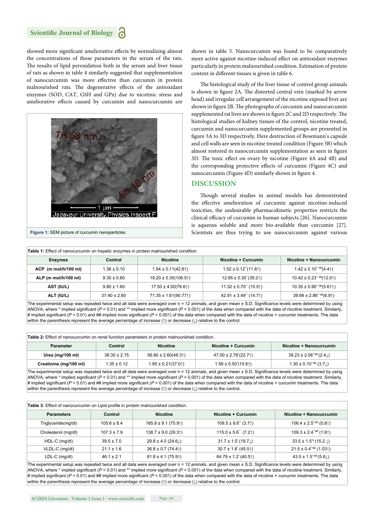showed more significant ameliorative effects by normalizing almost the concentrations of those parameters in the serum of the rats. The results of lipid peroxidation both in the serum and liver tissue of rats as shown in table 4 similarly suggested that supplementation of nanocurcumin was more effective than curcumin in protein malnourished rats. The degenerative effects of the antioxidant enzymes (SOD, CAT, GSH and GPx) due to nicotinic stress and ameliorative effects caused by curcumin and nanocurcumin are



shown in table 5. Nanocurcumin was found to be comparatively more active against nicotine-induced effect on antioxidant enzymes particularly in protein malnourished condition. Estimation of protein content in different tissues is given in table 6.

The histological study of the liver tissue of control group animals is shown in figure 2A. The distorted central vein (marked by arrow head) and irregular cell arrangement of the nicotine exposed liver are shown in figure 2B. The photographs of curcumin and nanocurcumin supplemented rat liver are shown in figure  $2C$  and  $2D$  respectively. The histological studies of kidney tissues of the control, nicotine treated, curcumin and nanocurcumin supplemented groups are presented in figure 3A to 3D respectively. Here destruction of Bowmann's capsule and cell walls are seen in nicotine treated condition (Figure 3B) which almost restored in nanocurcumin supplementation as seen in figure 3D. The toxic effect on ovary by nicotine (Figure 4A and 4B) and the corresponding protective effects of curcumin (Figure 4C) and nanocurcumin (Figure 4D) similarly shown in figure 4.

## **DISCUSSION**

Though several studies in animal models has demonstrated the effective amelioration of curcumin against nicotine-induced toxicities, the undesirable pharmacokinetic properties restricts the clinical efficacy of curcumin in human subjects [26]. Nanocurcumin is aqueous soluble and more bio-available than curcumin [27]. **Figure 1:** SEM picture of curcumin nanoparticles. Scientists are thus trying to use nanocurcumin against various scientists are thus trying to use nanocurcumin against various

| <b>Table 1:</b> Effect of nanocurcumin on hepatic enzymes in protein malnourished condition. |                  |                                                         |                            |                               |  |
|----------------------------------------------------------------------------------------------|------------------|---------------------------------------------------------|----------------------------|-------------------------------|--|
| <b>Enzymes</b>                                                                               | Control          | <b>Nicotine</b>                                         | Nicotine + Curcumin        | Nicotine + Nanocurcumin       |  |
| ACP (m mol/h/100 ml)                                                                         | $1.36 \pm 0.10$  | $1.94 \pm 0.11(42.6)$                                   | $1.52 \pm 0.12$ "(11.81)   | $1.42 \pm 0.10^{4}$ (4.41)    |  |
| ALP (m mol/h/100 ml)                                                                         | $9.30 \pm 0.60$  | $19.20 \pm 0.30(106.5)$                                 | $12.95 \pm 0.30$ (39.21)   | $10.42 \pm 0.23$ " # $(12.0)$ |  |
| AST (IU/L)                                                                                   | $9.80 \pm 1.60$  | $17.50 \pm 4.00(78.6$ <sup><math>\dagger</math></sup> ) | $11.32 \pm 0.70$ " (15.51) | $10.35 \pm 0.90^{**}$ (5.611) |  |
| ALT (IU/L)                                                                                   | $37.40 \pm 2.60$ | $71.35 \pm 1.61(90.77)$                                 | 42.91 ± 3.49" $(14.7)$     | $39.99 \pm 2.86$ " # $(6.9)$  |  |

The experimental setup was repeated twice and all data were averaged over  $n = 12$  animals, and given mean  $\pm$  S.D. Significance levels were determined by using ANOVA, where \* implied significant ( $P < 0.01$ ) and \*\* implied more significant ( $P < 0.001$ ) of the data when compared with the data of nicotine treatment. Similarly, # implied significant (P < 0.01) and ## implied more significant (P < 0.001) of the data when compared with the data of nicotine + curcumin treatments. The data within the parenthesis represent the average percentage of increase (↑) or decrease (↓) relative to the control.

| <b>Table 2:</b> Effect of nanocurcumin on renal function parameters in protein malnourished condition. |                  |                        |                        |                              |  |
|--------------------------------------------------------------------------------------------------------|------------------|------------------------|------------------------|------------------------------|--|
| <b>Parameter</b>                                                                                       | Control          | <b>Nicotine</b>        | Nicotine + Curcumin    | Nicotine + Nanocurcumin      |  |
| Urea (mg/100 ml)                                                                                       | $38.30 \pm 2.15$ | $56.80 \pm 2.60(48.3)$ | $47.00 \pm 2.78(22.7)$ | $39.23 \pm 2.06^{***} (2.4)$ |  |
| Creatinine (mg/100 ml)                                                                                 | $1.35 \pm 0.12$  | $1.85 \pm 0.21(37.0)$  | $1.56 \pm 0.50(15.6)$  | $1.30 \pm 0.10^{+}$ (3.7)    |  |

The experimental setup was repeated twice and all data were averaged over n = 12 animals, and given mean ± S.D. Significance levels were determined by using ANOVA, where  $*$  implied significant ( $P < 0.01$ ) and  $**$  implied more significant ( $P < 0.001$ ) of the data when compared with the data of nicotine treatment. Similarly, # implied significant (P < 0.01) and ## implied more significant (P < 0.001) of the data when compared with the data of nicotine + curcumin treatments. The data within the parenthesis represent the average percentage of increase (↑) or decrease (↓) relative to the control.

**Table 3:** Effect of nanocurcumin on Lipid profile in protein malnourished condition

| <b>Parameters</b>   | Control         | <b>Nicotine</b>         | Nicotine + Curcumin      | Nicotine + Nanocurcumin                           |  |  |
|---------------------|-----------------|-------------------------|--------------------------|---------------------------------------------------|--|--|
| Triglyceride(mg/dl) | $105.6 \pm 8.4$ | $185.8 \pm 9.1 (75.9)$  | $109.5 \pm 8.6$ " (3.71) | $106.4 \pm 2.5$ <sup>****</sup> (0.8 $\uparrow$ ) |  |  |
| Cholesterol (mg/dl) | $107.3 \pm 7.9$ | $138.7 \pm 9.0$ (29.31) | $115.0 \pm 5.6$ " (7.21) | $109.3 \pm 2.4$ <sup>**##</sup> (1.9 $\uparrow$ ) |  |  |
| HDL-C (mg/dl)       | $39.5 \pm 7.0$  | $29.8 \pm 4.0$ (24.6)   | $31.7 \pm 1.0(19.7)$     | $33.5 \pm 1.5^{*} (15.2 \downarrow)$              |  |  |
| VLDL-C (mg/dl)      | $21.1 \pm 1.6$  | $36.8 \pm 0.7$ (74.41)  | $30.7 \pm 1.8$ (45.51)   | $21.5 \pm 0.4$ <sup>**</sup> (1.031)              |  |  |
| $LDL-C$ (mg/dl)     | $46.1 \pm 2.1$  | $81.8 \pm 4.1 (75.9)$   | $64.79 \pm 1.2$ (40.51)  | $43.5 \pm 1.5$ <sup>****</sup> $(5.6)$            |  |  |

The experimental setup was repeated twice and all data were averaged over n = 12 animals, and given mean ± S.D. Significance levels were determined by using ANOVA, where \* implied significant ( $P < 0.01$ ) and \*\* implied more significant ( $P < 0.001$ ) of the data when compared with the data of nicotine treatment. Similarly, # implied significant (P < 0.01) and ## implied more significant (P < 0.001) of the data when compared with the data of nicotine + curcumin treatments. The data within the parenthesis represent the average percentage of increase (↑) or decrease (↓) relative to the control.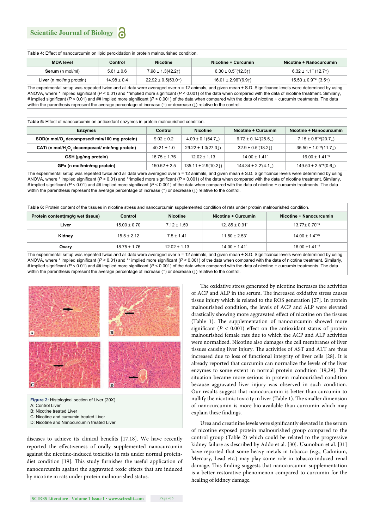| <b>Table 4:</b> Effect of nanocurcumin on lipid peroxidation in protein malnourished condition. |                            |                       |                            |                                      |  |  |
|-------------------------------------------------------------------------------------------------|----------------------------|-----------------------|----------------------------|--------------------------------------|--|--|
| <b>MDA</b> level                                                                                | <b>Nicotine</b><br>Control |                       | Nicotine + Curcumin        | Nicotine + Nanocurcumin              |  |  |
| <b>Serum</b> (n mol/ml)                                                                         | $5.61 \pm 0.6$             | $7.98 \pm 1.3(42.2)$  | $6.30 \pm 0.5$ "(12.31)    | $6.32 \pm 1.1$ " (12.71)             |  |  |
| Liver (n mol/mg protein)                                                                        | $14.98 \pm 0.4$            | $22.92 \pm 0.5(53.0)$ | $16.01 \pm 2.96$ " $(6.9)$ | $15.50 \pm 0.9$ <sup>**</sup> (3.51) |  |  |

The experimental setup was repeated twice and all data were averaged over n = 12 animals, and given mean ± S.D. Significance levels were determined by using ANOVA, where \* implied significant (*P* < 0.01) and \*\*implied more significant (*P* < 0.001) of the data when compared with the data of nicotine treatment. Similarly, # implied significant ( $P < 0.01$ ) and ## implied more significant ( $P < 0.001$ ) of the data when compared with the data of nicotine + curcumin treatments. The data within the parenthesis represent the average percentage of increase (↑) or decrease (↓) relative to the control.

| Table 5: Effect of nanocurcumin on antioxidant enzymes in protein malnourished condition. |                  |                        |                         |                                         |  |
|-------------------------------------------------------------------------------------------|------------------|------------------------|-------------------------|-----------------------------------------|--|
| <b>Enzymes</b>                                                                            | Control          | <b>Nicotine</b>        | Nicotine + Curcumin     | Nicotine + Nanocurcumin                 |  |
| SOD(n mol/O, decomposed/ min/100 mg protein)                                              | $9.02 \pm 0.2$   | $4.09 \pm 0.1(54.7)$   | $6.72 \pm 0.14$ '(25.5) | $7.15 \pm 0.5$ <sup>**</sup> $(20.71)$  |  |
| CAT\ (n mol/H <sub>2</sub> O <sub>2</sub> decomposed/ min/mg protein)                     | $40.21 \pm 1.0$  | $29.22 \pm 1.0(27.3)$  | $32.9 \pm 0.5(18.2)$    | $35.50 \pm 1.0^{4} \times (11.7)$       |  |
| GSH (µg/mg protein)                                                                       | $18.75 \pm 1.76$ | $12.02 \pm 1.13$       | $14.00 \pm 1.41$        | $16.00 \pm 1.41$ <sup>**</sup>          |  |
| GPx (n mol/min/mg protein)                                                                | $150.52 \pm 2.5$ | $135.11 \pm 2.9(10.2)$ | $144.34 \pm 2.2(4.1)$   | $149.50 \pm 2.5$ <sup>**</sup> $(0.61)$ |  |

The experimental setup was repeated twice and all data were averaged over n = 12 animals, and given mean ± S.D. Significance levels were determined by using ANOVA, where \* implied significant ( $P < 0.01$ ) and \*\*implied more significant ( $P < 0.001$ ) of the data when compared with the data of nicotine treatment. Similarly, # implied significant ( $P < 0.01$ ) and ## implied more significant ( $P < 0.001$ ) of the data when compared with the data of nicotine + curcumin treatments. The data within the parenthesis represent the average percentage of increase (↑) or decrease (↓) relative to the control.

**Table 6:** Protein content of the tissues in nicotine stress and nanocurcumin supplemented condition of rats under protein malnourished condition.

| Protein content(mg/g wet tissue) | Control          | <b>Nicotine</b>  | Nicotine + Curcumin | Nicotine + Nanocurcumin          |
|----------------------------------|------------------|------------------|---------------------|----------------------------------|
| Liver                            | $15.00 \pm 0.70$ | $7.12 \pm 1.59$  | $12.85 \pm 0.91$    | $13.77 \pm 0.70^{4}$             |
| Kidney                           | $15.5 \pm 2.12$  | $7.5 \pm 1.41$   | $11.50 \pm 2.53$    | $14.00 \pm 1.4$ <sup>*****</sup> |
| Ovary                            | $18.75 \pm 1.76$ | $12.02 \pm 1.13$ | $14.00 \pm 1.41$    | $16.00 \pm 1.41^{+4}$            |

The experimental setup was repeated twice and all data were averaged over  $n = 12$  animals, and given mean  $\pm$  S.D. Significance levels were determined by using ANOVA, where \* implied significant ( $P < 0.01$ ) and \*\* implied more significant ( $P < 0.001$ ) of the data when compared with the data of nicotine treatment. Similarly, # implied significant (P < 0.01) and ## implied more significant (P < 0.001) of the data when compared with the data of nicotine + curcumin treatments. The data within the parenthesis represent the average percentage of increase (↑) or decrease (↓) relative to the control.



- B: Nicotine treated Liver
- C: Nicotine and curcumin treated Liver
- D: Nicotine and Nanocurcumin treated Liver

diseases to achieve its clinical benefits  $[17,18]$ . We have recently reported the effectiveness of orally supplemented nanocurcumin against the nicotine-induced toxicities in rats under normal proteindiet condition [19]. This study furnishes the useful application of nanocurcumin against the aggravated toxic effects that are induced by nicotine in rats under protein malnourished status.

The oxidative stress generated by nicotine increases the activities of ACP and ALP in the serum. The increased oxidative stress causes tissue injury which is related to the ROS generation [27]. In protein malnourished condition, the levels of ACP and ALP were elevated drastically showing more aggravated effect of nicotine on the tissues (Table 1). The supplementation of nanocurcumin showed more significant  $(P < 0.001)$  effect on the antioxidant status of protein malnourished female rats due to which the ACP and ALP activities were normalized. Nicotine also damages the cell membranes of liver tissues causing liver injury. The activities of AST and ALT are thus increased due to loss of functional integrity of liver cells [28]. It is already reported that curcumin can normalize the levels of the liver enzymes to some extent in normal protein condition [19,29]. The situation became more serious in protein malnourished condition because aggravated liver injury was observed in such condition. Our results suggest that nanocurcumin is better than curcumin to nullify the nicotinic toxicity in liver (Table 1). The smaller dimension of nanocurcumin is more bio-available than curcumin which may explain these findings.

Urea and creatinine levels were significantly elevated in the serum of nicotine exposed protein malnourished group compared to the control group (Table 2) which could be related to the progressive kidney failure as described by Addo et al. [30]. Usunobun et al. [31] have reported that some heavy metals in tobacco (e.g., Cadmium, Mercury, Lead etc.) may play some role in tobacco-induced renal damage. This finding suggests that nanocurcumin supplementation is a better restorative phenomenon compared to curcumin for the healing of kidney damage.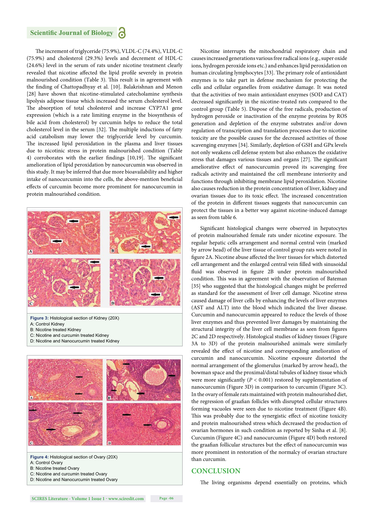The increment of triglyceride (75.9%), VLDL-C (74.4%), VLDL-C (75.9%) and cholesterol (29.3%) levels and decrement of HDL-C (24.6%) level in the serum of rats under nicotine treatment clearly revealed that nicotine affected the lipid profile severely in protein malnourished condition (Table 3). This result is in agreement with the finding of Chattopadhyay et al. [10]. Balakrishnan and Menon [28] have shown that nicotine-stimulated catecholamine synthesis lipolysis adipose tissue which increased the serum cholesterol level. The absorption of total cholesterol and increase CYP7A1 gene expression (which is a rate limiting enzyme in the biosynthesis of bile acid from cholesterol) by curcumin helps to reduce the total cholesterol level in the serum [32]. The multiple inductions of fatty acid catabolism may lower the triglyceride level by curcumin. The increased lipid peroxidation in the plasma and liver tissues due to nicotinic stress in protein malnourished condition (Table 4) corroborates with the earlier findings  $[10,19]$ . The significant amelioration of lipid peroxidation by nanocurcumin was observed in this study. It may be inferred that due more bioavailability and higher intake of nanocurcumin into the cells, the above-mention beneficial effects of curcumin become more prominent for nanocurcumin in protein malnourished condition.



**Figure 3:** Histological section of Kidney (20X) A: Control Kidney B: Nicotine treated Kidney C: Nicotine and curcumin treated Kidney

D: Nicotine and Nanocurcumin treated Kidney



**Figure 4:** Histological section of Ovary (20X) A: Control Ovary

B: Nicotine treated Ovary

C: Nicotine and curcumin treated Ovary

D: Nicotine and Nanocurcumin treated Ovary

Nicotine interrupts the mitochondrial respiratory chain and causes increased generations various free radical ions (e.g., super oxide ions, hydrogen peroxide ions etc.) and enhances lipid peroxidation on human circulating lymphocytes [33]. The primary role of antioxidant enzymes is to take part in defense mechanism for protecting the cells and cellular organelles from oxidative damage. It was noted that the activities of two main antioxidant enzymes (SOD and CAT) decreased significantly in the nicotine-treated rats compared to the control group (Table 5). Dispose of the free radicals, production of hydrogen peroxide or inactivation of the enzyme proteins by ROS generation and depletion of the enzyme substrates and/or down regulation of transcription and translation processes due to nicotine toxicity are the possible causes for the decreased activities of those scavenging enzymes [34]. Similarly, depletion of GSH and GPx levels not only weakens cell defense system but also enhances the oxidative stress that damages various tissues and organs [27]. The significant ameliorative effect of nanocurcumin proved its scavenging free radicals activity and maintained the cell membrane interiority and functions through inhibiting membrane lipid peroxidation. Nicotine also causes reduction in the protein concentration of liver, kidney and ovarian tissues due to its toxic effect. The increased concentration of the protein in different tissues suggests that nanocurcumin can protect the tissues in a better way against nicotine-induced damage as seen from table 6.

Significant histological changes were observed in hepatocytes of protein malnourished female rats under nicotine exposure. The regular hepatic cells arrangement and normal central vein (marked by arrow head) of the liver tissue of control group rats were noted in figure 2A. Nicotine abuse affected the liver tissues for which distorted cell arrangement and the enlarged central vein filled with sinusoidal fluid was observed in figure 2B under protein malnourished condition. This was in agreement with the observation of Bateman [35] who suggested that the histological changes might be preferred as standard for the assessment of liver cell damage. Nicotine stress caused damage of liver cells by enhancing the levels of liver enzymes (AST and ALT) into the blood which indicated the liver disease. Curcumin and nanocurcumin appeared to reduce the levels of those liver enzymes and thus prevented liver damages by maintaining the structural integrity of the liver cell membrane as seen from figures 2C and 2D respectively. Histological studies of kidney tissues (Figure 3A to 3D) of the protein malnourished animals were similarly revealed the effect of nicotine and corresponding amelioration of curcumin and nanocurcumin. Nicotine exposure distorted the normal arrangement of the glomerulus (marked by arrow head), the bowman space and the proximal/distal tubules of kidney tissue which were more significantly ( $P < 0.001$ ) restored by supplementation of nanocurcumin (Figure 3D) in comparison to curcumin (Figure 3C). In the ovary of female rats maintained with protein malnourished diet, the regression of graafian follicles with disrupted cellular structures forming vacuoles were seen due to nicotine treatment (Figure 4B). This was probably due to the synergistic effect of nicotine toxicity and protein malnourished stress which decreased the production of ovarian hormones in such condition as reported by Sinha et al. [8]. Curcumin (Figure 4C) and nanocurcumin (Figure 4D) both restored the graafian follicular structures but the effect of nanocurcumin was more prominent in restoration of the normalcy of ovarian structure than curcumin.

## **CONCLUSION**

The living organisms depend essentially on proteins, which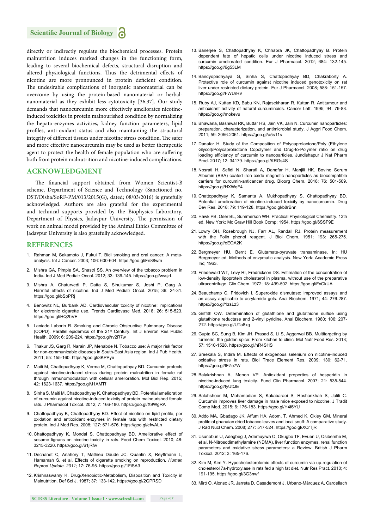directly or indirectly regulate the biochemical processes. Protein malnutrition induces marked changes in the functioning form, leading to several biochemical defects, structural disruption and altered physiological functions. Thus the detrimental effects of nicotine are more pronounced in protein deficient condition. The undesirable complications of inorganic nanomaterial can be overcome by using the protein-based nanomaterial or herbalnanomaterial as they exhibit less cytotoxicity [36,37]. Our study demands that nanocurcumin more effectively ameliorates nicotineinduced toxicities in protein malnourished condition by normalizing the hepato-enzymes activities, kidney function parameters, lipid profiles, anti-oxidant status and also maintaining the structural integrity of different tissues under nicotine stress condition. The safer and more effective nanocurcumin may be used as better therapeutic agent to protect the health of female population who are suffering both from protein malnutrition and nicotine-induced complications.

#### **ACKNOWLEDGMENT**

The financial support obtained from Women Scientist-B scheme, Department of Science and Technology (Sanctioned no. DST/Disha/SoRF-PM/013/2015(G), dated; 08/03/2016) is gratefully acknowledged. Authors are also grateful for the experimental and technical supports provided by the Biophysics Laboratory, Department of Physics, Jadavpur University. The permission of work on animal model provided by the Animal Ethics Committee of Jadavpur University is also gratefully acknowledged.

#### **REFERENCES**

- 1. Rahman M, Sakamoto J, Fukui T. Bidi smoking and oral cancer: A metaanalysis. Int J Cancer. 2003; 106: 600-604. https://goo.gl/Fn88wm
- 2. Mishra GA, Pimple SA, Shastri SS. An overview of the tobacco problem in India**.** Ind J Med Pediatr Oncol. 2012; 33: 139-145. https://goo.gl/wvsjrL
- 3. Mishra A, Chaturvedi P, Datta S, Sinukumar S, Joshi P, Garg A. Harmful effects of nicotine. Ind J Med Pediatr Oncol. 2015; 36: 24-31. https://goo.gl/bSpPRj
- 4. Benowitz NL, Burbank AD. Cardiovascular toxicity of nicotine: implications for electronic cigarette use. Trends Cardiovasc Med. 2016; 26: 515-523. https://goo.gl/HQ2bVE
- 5. Laniado Laborin R. Smoking and Chronic Obstructive Pulmonary Disease (COPD). Parallel epidemics of the 21st Century. Int J Environ Res Public Health. 2009; 6: 209-224. https://goo.gl/rv2R7w
- 6. Thakur JS, Garg R, Narain JP, Menabde N. Tobacco use: A major risk factor for non-communicable diseases in South-East Asia region. Ind J Pub Health. 2011; 55: 155-160. https://goo.gl/3KPPye
- 7. Maiti M, Chattopadhyay K, Verma M, Chattopadhyay BD. Curcumin protects against nicotine-induced stress during protein malnutrition in female rat through immunomodulation with cellular amelioration. Mol Biol Rep. 2015; 42: 1623-1637. https://goo.gl/J1AMTf
- 8. Sinha S, Maiti M, Chattopadhyay K, Chattopadhyay BD. Potential amelioration of curcumin against nicotine-induced toxicity of protein malnourished female rats. J Pharmacol Toxicol. 2012; 7: 166-180. https://goo.gl/X9WgRA
- 9. Chattopadhyay K, Chattopadhyay BD. Effect of nicotine on lipid profile, per oxidation and antioxidant enzymes in female rats with restricted dietary protein. Ind J Med Res. 2008; 127: 571-576. https://goo.gl/efwALn
- 10. Chattopadhyay K, Mondal S, Chattopadhyay BD. Ameliorative effect of sesame lignans on nicotine toxicity in rats. Food Chem Toxicol. 2010; 48: 3215-3220. https://goo.gl/61jRfw
- 11. Dechanet C, Anahory T, Mathieu Daude JC, Quantin X, Reyftmann L, Hamamah S, et al. Effects of cigarette smoking on reproduction. *Human Reprod Update. 2011;* 17: 76-95. https://goo.gl/1FiSA3
- 12. Krishnaswamy K. Drug/Xenobiotic-Metabolism, Disposition and Toxicity in Malnutrition. Def Sci J. 1987; 37: 133-142. https://goo.gl/2GPRSD
- 13. Banerjee S, Chattopadhyay K, Chhabra JK, Chattopadhyay B. Protein dependent fate of hepatic cells under nicotine induced stress and curcumin ameliorated condition. Eur J Pharmacol. 2012; 684: 132-145. https://goo.gl/6g53LM
- 14. Bandyopadhyaya G, Sinha S, Chattopadhyay BD, Chakraborty A. Protective role of curcumin against nicotine induced genotoxicity on rat liver under restricted dietary protein. Eur J Pharmacol. 2008; 588: 151-157. https://goo.gl/FWUrRV
- 15. Ruby AJ, Kuttan KD, Babu KN, Rajasekharan R, Kuttan R. Antitumour and antioxidant activity of natural curcuminoids. Cancer Lett. 1995; 94: 79-83. https://goo.gl/mokevu
- 16. Bhawana, Basniwal RK, Buttar HS, Jain VK, Jain N. Curcumin nanoparticles: preparation, characterization, and antimicrobial study. J Aggri Food Chem. 2011; 59: 2056-2061. https://goo.gl/a5s11s
- 17. Danafar H. Study of the Composition of Polycaprolactone/Poly (Ethylene Glycol)/Polycaprolactone Copolymer and Drug-to-Polymer ratio on drug loading efficiency of curcumin to nanoparticles. Jundishapur J Nat Pharm Prod. 2017; 12: 34179. https://goo.gl/KRGs4S
- 18. Nosrati H, Sefidi N, Sharafi A, Danafar H, Manjili HK. Bovine Serum Albumin (BSA) coated iron oxide magnetic nanoparticles as biocompatible carriers for curcumin-anticancer drug. Bioorg Chem. 2018; 76: 501-509. https://goo.gl/HXWqF4
- 19. Chattopadhyay K, Samanta A, Mukhopadhyay S, Chattopadhyay BD. Potential amelioration of nicotine-induced toxicity by nanocurcumin. Drug Dev Res. 2018; 79: 119-128. https://goo.gl/b8rBnn
- 20. Hawk PB, Oser BL, Summerson WH. Practical Physiological Chemistry. 13th ed. New York: Mc Graw Hill Book Comp; 1954. https://goo.gl/6SSF9E
- 21. Lowry OH, Rosebrough NJ, Farr AL, Randall RJ. Protein measurement with the Folin phenol reagent. J Biol Chem. 1951; 193: 265-275. https://goo.gl/eEQA2K
- 22. Bergmeyer HU, Bernt E. Glutamate-pyruvate transaminase. In: HU Bergmeyer ed. Methods of enzymatic analysis. New York: Academic Press Inc; 1963.
- 23. Friedewald WT, Levy RI, Fredrickson DS. Estimation of the concentration of low-density lipoprotein cholesterol in plasma, without use of the preparative ultracentrifuge. Clin Chem. 1972; 18: 499-502. https://goo.gl/FxCkUA
- 24. Beauchamp C, Fridovich I. Superoxide dismutase: improved assays and an assay applicable to acrylamide gels. Anal Biochem. 1971; 44: 276-287. https://goo.gl/1zsLz3
- 25. Griffith OW. Determination of glutathione and glutathione sulfide using glutathione reductase and 2-vinyl pyridine. Anal Biochem. 1980; 106: 207- 212. https://goo.gl/UTa8xg
- 26. Gupta SC, Sung B, Kim JH, Prasad S, Li S, Aggarwal BB. Multitargeting by turmeric, the golden spice: From kitchen to clinic. Mol Nutr Food Res. 2013; 57: 1510-1528. https://goo.gl/hR4SHS
- 27. Sreekala S, Indira M. Effects of exogenous selenium on nicotine-induced oxidative stress in rats. Biol Trace Element Res. 2009; 130: 62-71. https://goo.gl/fFZe7W
- 28. Balakrishnan A, Menon VP. Antioxidant properties of hesperidin in nicotine-induced lung toxicity. Fund Clin Pharmacol. 2007; 21: 535-544. https://goo.gl/fyUtQE
- 29. Salahshoor M, Mohamadian S, Kakabaraei S, Roshankhah S, Jalili C. Curcumin improves liver damage in male mice exposed to nicotine. J Tradit Comp Med. 2015; 6: 176-183. https://goo.gl/H4f6YU
- 30. Addo MA, Gbadago JK, Affum HA, Adom, T, Ahmed K, Okley GM. Mineral profile of ghanaian dried tobacco leaves and local snuff: A comparative study. J Rad Nucl Chem. 2008; 277: 517-524. https://goo.gl/XCrTjR
- 31. Usunobun U, Adegbeg J, Ademuyiwa O, Okugbo TF, Evuen U, Osibemhe M, et al. N-Nitrosodimethylamine (NDMA), liver function enzymes, renal function parameters and oxidative stress parameters: a Review. British J Pharm Toxicol. 2012; 3: 165-176.
- 32. Kim M, Kim Y. Hypocholesterolemic effects of curcumin via up-regulation of cholesterol 7a-hydroxylase in rats fed a high fat diet. Nutr Res Pract. 2010; 4: 191-195. https://goo.gl/3G3nwf
- 33. Miró O, Alonso JR, Jarreta D, Casademont J, Urbano-Márquez A, Cardellach